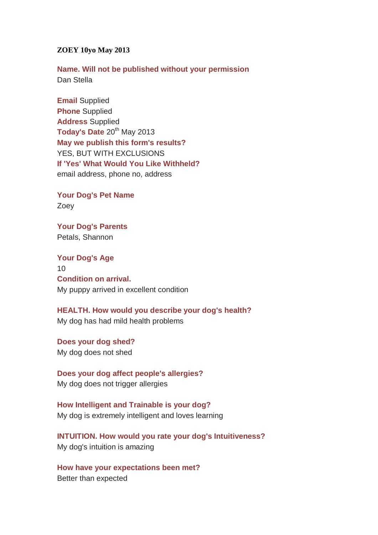## **ZOEY 10yo May 2013**

**Name. Will not be published without your permission** Dan Stella

**Email** Supplied **Phone** Supplied **Address** Supplied Today's Date 20<sup>th</sup> May 2013 **May we publish this form's results?**  YES, BUT WITH EXCLUSIONS **If 'Yes' What Would You Like Withheld?**  email address, phone no, address

**Your Dog's Pet Name**  Zoey

**Your Dog's Parents**  Petals, Shannon

**Your Dog's Age** 10 **Condition on arrival.**  My puppy arrived in excellent condition

**HEALTH. How would you describe your dog's health?** My dog has had mild health problems

**Does your dog shed?** My dog does not shed

**Does your dog affect people's allergies?**  My dog does not trigger allergies

**How Intelligent and Trainable is your dog?** My dog is extremely intelligent and loves learning

**INTUITION. How would you rate your dog's Intuitiveness?** My dog's intuition is amazing

**How have your expectations been met?**  Better than expected